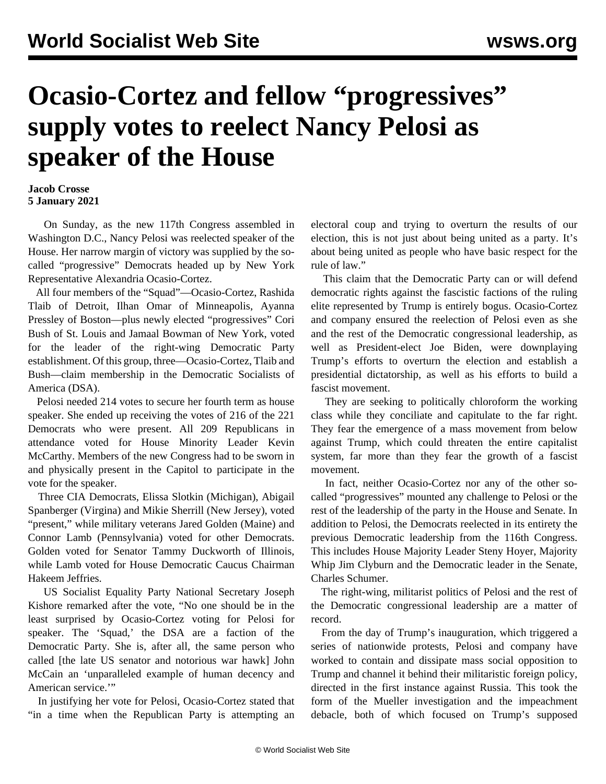## **Ocasio-Cortez and fellow "progressives" supply votes to reelect Nancy Pelosi as speaker of the House**

## **Jacob Crosse 5 January 2021**

 On Sunday, as the new 117th Congress assembled in Washington D.C., Nancy Pelosi was reelected speaker of the House. Her narrow margin of victory was supplied by the socalled "progressive" Democrats headed up by New York Representative Alexandria Ocasio-Cortez.

 All four members of the "Squad"—Ocasio-Cortez, Rashida Tlaib of Detroit, Ilhan Omar of Minneapolis, Ayanna Pressley of Boston—plus newly elected "progressives" Cori Bush of St. Louis and Jamaal Bowman of New York, voted for the leader of the right-wing Democratic Party establishment. Of this group, three—Ocasio-Cortez, Tlaib and Bush—claim membership in the Democratic Socialists of America (DSA).

 Pelosi needed 214 votes to secure her fourth term as house speaker. She ended up receiving the votes of 216 of the 221 Democrats who were present. All 209 Republicans in attendance voted for House Minority Leader Kevin McCarthy. Members of the new Congress had to be sworn in and physically present in the Capitol to participate in the vote for the speaker.

 Three [CIA Democrats,](/en/articles/2020/08/20/ciad-a20.html) Elissa Slotkin (Michigan), Abigail Spanberger (Virgina) and Mikie Sherrill (New Jersey), voted "present," while military veterans Jared Golden (Maine) and Connor Lamb (Pennsylvania) voted for other Democrats. Golden voted for Senator Tammy Duckworth of Illinois, while Lamb voted for House Democratic Caucus Chairman Hakeem Jeffries.

 US Socialist Equality Party National Secretary Joseph Kishore remarked after the vote, "No one should be in the least surprised by Ocasio-Cortez voting for Pelosi for speaker. The 'Squad,' the DSA are a faction of the Democratic Party. She is, after all, the same person who called [the late US senator and notorious war hawk] John McCain an 'unparalleled example of human decency and American service.'"

 In justifying her vote for Pelosi, Ocasio-Cortez stated that "in a time when the Republican Party is attempting an electoral coup and trying to overturn the results of our election, this is not just about being united as a party. It's about being united as people who have basic respect for the rule of law."

 This claim that the Democratic Party can or will defend democratic rights against the fascistic factions of the ruling elite represented by Trump is entirely bogus. Ocasio-Cortez and company ensured the reelection of Pelosi even as she and the rest of the Democratic congressional leadership, as well as President-elect Joe Biden, were downplaying Trump's efforts to overturn the election and establish a presidential dictatorship, as well as his efforts to build a fascist movement.

 They are seeking to politically chloroform the working class while they conciliate and capitulate to the far right. They fear the emergence of a mass movement from below against Trump, which could threaten the entire capitalist system, far more than they fear the growth of a fascist movement.

 In fact, neither Ocasio-Cortez nor any of the other socalled "progressives" mounted any challenge to Pelosi or the rest of the leadership of the party in the House and Senate. In addition to Pelosi, the Democrats reelected in its entirety the previous Democratic leadership from the 116th Congress. This includes House Majority Leader Steny Hoyer, Majority Whip Jim Clyburn and the Democratic leader in the Senate, Charles Schumer.

 The right-wing, militarist politics of Pelosi and the rest of the Democratic congressional leadership are a matter of record.

 From the day of Trump's inauguration, which triggered a series of nationwide protests, Pelosi and company have worked to contain and dissipate mass social opposition to Trump and channel it behind their militaristic foreign policy, directed in the first instance against Russia. This took the form of the Mueller investigation and the impeachment debacle, both of which focused on Trump's supposed